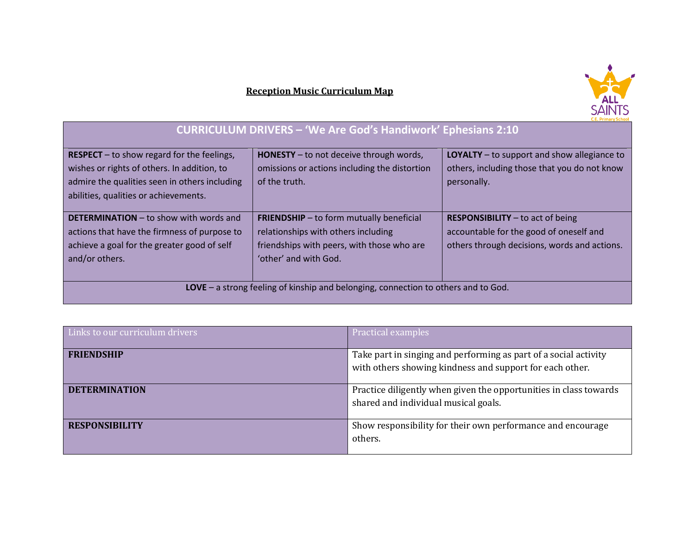## **Reception Music Curriculum Map**



## **CURRICULUM DRIVERS – 'We Are God's Handiwork' Ephesians 2:10**

| <b>RESPECT</b> – to show regard for the feelings,<br>wishes or rights of others. In addition, to<br>admire the qualities seen in others including<br>abilities, qualities or achievements. | <b>HONESTY</b> – to not deceive through words,<br>omissions or actions including the distortion<br>of the truth.                                              | <b>LOYALTY</b> – to support and show allegiance to<br>others, including those that you do not know<br>personally.                    |  |
|--------------------------------------------------------------------------------------------------------------------------------------------------------------------------------------------|---------------------------------------------------------------------------------------------------------------------------------------------------------------|--------------------------------------------------------------------------------------------------------------------------------------|--|
| <b>DETERMINATION</b> – to show with words and<br>actions that have the firmness of purpose to<br>achieve a goal for the greater good of self<br>and/or others.                             | <b>FRIENDSHIP</b> - to form mutually beneficial<br>relationships with others including<br>friendships with peers, with those who are<br>'other' and with God. | <b>RESPONSIBILITY</b> $-$ to act of being<br>accountable for the good of oneself and<br>others through decisions, words and actions. |  |
| LOVE - a strong feeling of kinship and belonging, connection to others and to God.                                                                                                         |                                                                                                                                                               |                                                                                                                                      |  |

| Links to our curriculum drivers | Practical examples                                                                                                           |
|---------------------------------|------------------------------------------------------------------------------------------------------------------------------|
| <b>FRIENDSHIP</b>               | Take part in singing and performing as part of a social activity<br>with others showing kindness and support for each other. |
| <b>DETERMINATION</b>            | Practice diligently when given the opportunities in class towards<br>shared and individual musical goals.                    |
| <b>RESPONSIBILITY</b>           | Show responsibility for their own performance and encourage<br>others.                                                       |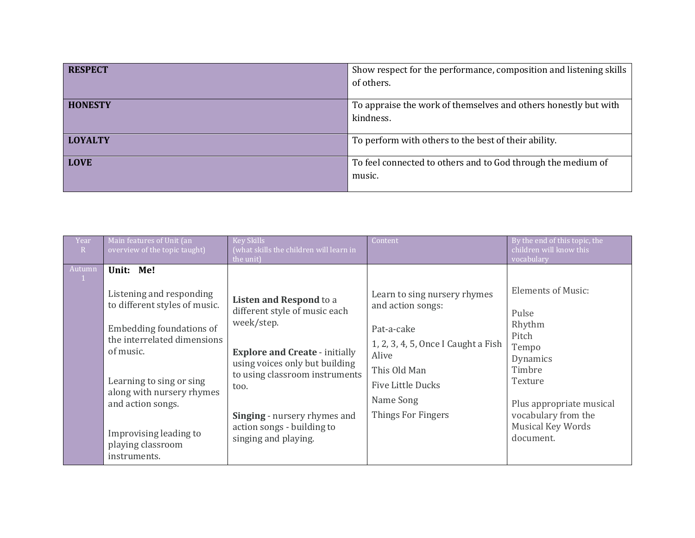| <b>RESPECT</b> | Show respect for the performance, composition and listening skills |
|----------------|--------------------------------------------------------------------|
|                | of others.                                                         |
|                |                                                                    |
| <b>HONESTY</b> | To appraise the work of themselves and others honestly but with    |
|                | kindness.                                                          |
|                |                                                                    |
| <b>LOYALTY</b> | To perform with others to the best of their ability.               |
|                |                                                                    |
| <b>LOVE</b>    | To feel connected to others and to God through the medium of       |
|                | music.                                                             |
|                |                                                                    |

| Year<br>R                 | Main features of Unit (an<br>overview of the topic taught)                                                                                                                                                                                                                                  | <b>Key Skills</b><br>(what skills the children will learn in<br>the unit)                                                                                                                                                                                                                | Content                                                                                                                                                                                        | By the end of this topic, the<br>children will know this<br>vocabulary                                                                                                               |
|---------------------------|---------------------------------------------------------------------------------------------------------------------------------------------------------------------------------------------------------------------------------------------------------------------------------------------|------------------------------------------------------------------------------------------------------------------------------------------------------------------------------------------------------------------------------------------------------------------------------------------|------------------------------------------------------------------------------------------------------------------------------------------------------------------------------------------------|--------------------------------------------------------------------------------------------------------------------------------------------------------------------------------------|
| Autumn<br>$\vert 1 \vert$ | Unit: Me!<br>Listening and responding<br>to different styles of music.<br>Embedding foundations of<br>the interrelated dimensions<br>of music.<br>Learning to sing or sing<br>along with nursery rhymes<br>and action songs.<br>Improvising leading to<br>playing classroom<br>instruments. | <b>Listen and Respond to a</b><br>different style of music each<br>week/step.<br><b>Explore and Create - initially</b><br>using voices only but building<br>to using classroom instruments<br>too.<br>Singing - nursery rhymes and<br>action songs - building to<br>singing and playing. | Learn to sing nursery rhymes<br>and action songs:<br>Pat-a-cake<br>1, 2, 3, 4, 5, Once I Caught a Fish<br>Alive<br>This Old Man<br><b>Five Little Ducks</b><br>Name Song<br>Things For Fingers | <b>Elements of Music:</b><br>Pulse<br>Rhythm<br>Pitch<br>Tempo<br>Dynamics<br>Timbre<br>Texture<br>Plus appropriate musical<br>vocabulary from the<br>Musical Key Words<br>document. |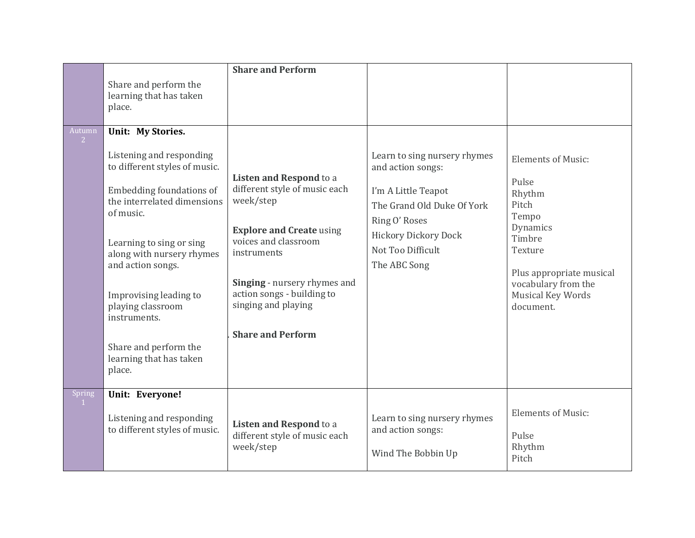|                          | Share and perform the<br>learning that has taken<br>place.                                                                                                                                                                                                                                                                                                        | <b>Share and Perform</b>                                                                                                                                                                                                                                                |                                                                                                                                                                                      |                                                                                                                                                                                             |
|--------------------------|-------------------------------------------------------------------------------------------------------------------------------------------------------------------------------------------------------------------------------------------------------------------------------------------------------------------------------------------------------------------|-------------------------------------------------------------------------------------------------------------------------------------------------------------------------------------------------------------------------------------------------------------------------|--------------------------------------------------------------------------------------------------------------------------------------------------------------------------------------|---------------------------------------------------------------------------------------------------------------------------------------------------------------------------------------------|
| Autumn<br>$\overline{2}$ | Unit: My Stories.<br>Listening and responding<br>to different styles of music.<br>Embedding foundations of<br>the interrelated dimensions<br>of music.<br>Learning to sing or sing<br>along with nursery rhymes<br>and action songs.<br>Improvising leading to<br>playing classroom<br>instruments.<br>Share and perform the<br>learning that has taken<br>place. | <b>Listen and Respond to a</b><br>different style of music each<br>week/step<br><b>Explore and Create using</b><br>voices and classroom<br>instruments<br>Singing - nursery rhymes and<br>action songs - building to<br>singing and playing<br><b>Share and Perform</b> | Learn to sing nursery rhymes<br>and action songs:<br>I'm A Little Teapot<br>The Grand Old Duke Of York<br>Ring O' Roses<br>Hickory Dickory Dock<br>Not Too Difficult<br>The ABC Song | <b>Elements of Music:</b><br>Pulse<br>Rhythm<br>Pitch<br>Tempo<br>Dynamics<br>Timbre<br>Texture<br>Plus appropriate musical<br>vocabulary from the<br><b>Musical Key Words</b><br>document. |
| Spring                   | Unit: Everyone!<br>Listening and responding<br>to different styles of music.                                                                                                                                                                                                                                                                                      | Listen and Respond to a<br>different style of music each<br>week/step                                                                                                                                                                                                   | Learn to sing nursery rhymes<br>and action songs:<br>Wind The Bobbin Up                                                                                                              | <b>Elements of Music:</b><br>Pulse<br>Rhythm<br>Pitch                                                                                                                                       |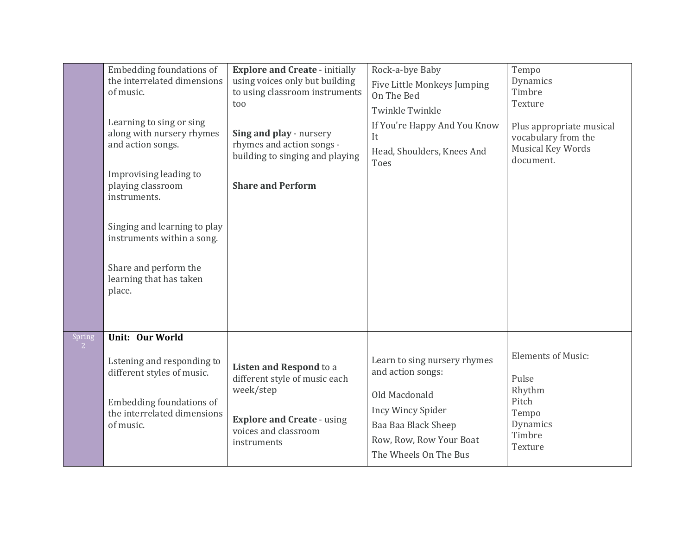|                                 | Embedding foundations of<br>the interrelated dimensions<br>of music.<br>Learning to sing or sing<br>along with nursery rhymes<br>and action songs.<br>Improvising leading to<br>playing classroom<br>instruments.<br>Singing and learning to play<br>instruments within a song.<br>Share and perform the<br>learning that has taken<br>place. | <b>Explore and Create - initially</b><br>using voices only but building<br>to using classroom instruments<br>too<br>Sing and play - nursery<br>rhymes and action songs -<br>building to singing and playing<br><b>Share and Perform</b> | Rock-a-bye Baby<br>Five Little Monkeys Jumping<br>On The Bed<br><b>Twinkle Twinkle</b><br>If You're Happy And You Know<br>It<br>Head, Shoulders, Knees And<br>Toes        | Tempo<br>Dynamics<br>Timbre<br>Texture<br>Plus appropriate musical<br>vocabulary from the<br><b>Musical Key Words</b><br>document. |
|---------------------------------|-----------------------------------------------------------------------------------------------------------------------------------------------------------------------------------------------------------------------------------------------------------------------------------------------------------------------------------------------|-----------------------------------------------------------------------------------------------------------------------------------------------------------------------------------------------------------------------------------------|---------------------------------------------------------------------------------------------------------------------------------------------------------------------------|------------------------------------------------------------------------------------------------------------------------------------|
| <b>Spring</b><br>2 <sup>7</sup> | Unit: Our World<br>Lstening and responding to<br>different styles of music.<br>Embedding foundations of<br>the interrelated dimensions<br>of music.                                                                                                                                                                                           | Listen and Respond to a<br>different style of music each<br>week/step<br><b>Explore and Create - using</b><br>voices and classroom<br>instruments                                                                                       | Learn to sing nursery rhymes<br>and action songs:<br>Old Macdonald<br><b>Incy Wincy Spider</b><br>Baa Baa Black Sheep<br>Row, Row, Row Your Boat<br>The Wheels On The Bus | <b>Elements of Music:</b><br>Pulse<br>Rhythm<br>Pitch<br>Tempo<br>Dynamics<br>Timbre<br>Texture                                    |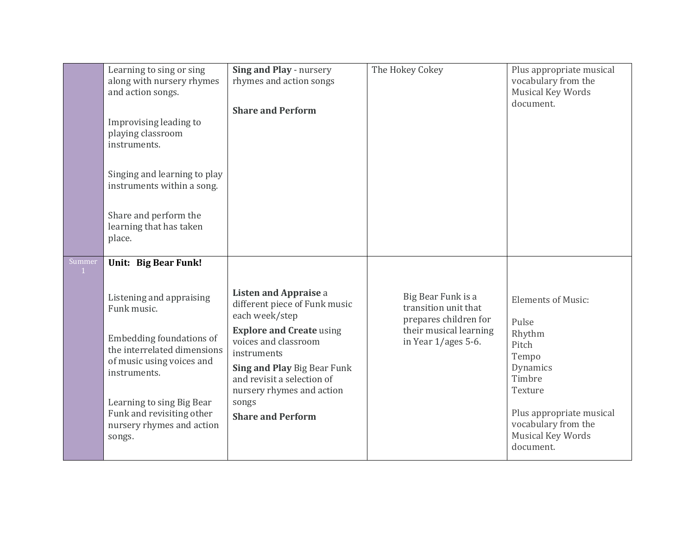| Learning to sing or sing<br>along with nursery rhymes<br>and action songs.<br>Improvising leading to<br>playing classroom<br>instruments.<br>Singing and learning to play<br>instruments within a song.<br>Share and perform the<br>learning that has taken<br>place.                    | Sing and Play - nursery<br>rhymes and action songs<br><b>Share and Perform</b>                                                                                                                                                                                                           | The Hokey Cokey                                                                                                        | Plus appropriate musical<br>vocabulary from the<br><b>Musical Key Words</b><br>document.                                                           |
|------------------------------------------------------------------------------------------------------------------------------------------------------------------------------------------------------------------------------------------------------------------------------------------|------------------------------------------------------------------------------------------------------------------------------------------------------------------------------------------------------------------------------------------------------------------------------------------|------------------------------------------------------------------------------------------------------------------------|----------------------------------------------------------------------------------------------------------------------------------------------------|
| Summer<br>Unit: Big Bear Funk!<br>$\mathbf{1}$<br>Listening and appraising<br>Funk music.<br>Embedding foundations of<br>the interrelated dimensions<br>of music using voices and<br>instruments.<br>Learning to sing Big Bear<br>Funk and revisiting other<br>nursery rhymes and action | <b>Listen and Appraise a</b><br>different piece of Funk music<br>each week/step<br><b>Explore and Create using</b><br>voices and classroom<br>instruments<br>Sing and Play Big Bear Funk<br>and revisit a selection of<br>nursery rhymes and action<br>songs<br><b>Share and Perform</b> | Big Bear Funk is a<br>transition unit that<br>prepares children for<br>their musical learning<br>in Year $1/ages$ 5-6. | <b>Elements of Music:</b><br>Pulse<br>Rhythm<br>Pitch<br>Tempo<br>Dynamics<br>Timbre<br>Texture<br>Plus appropriate musical<br>vocabulary from the |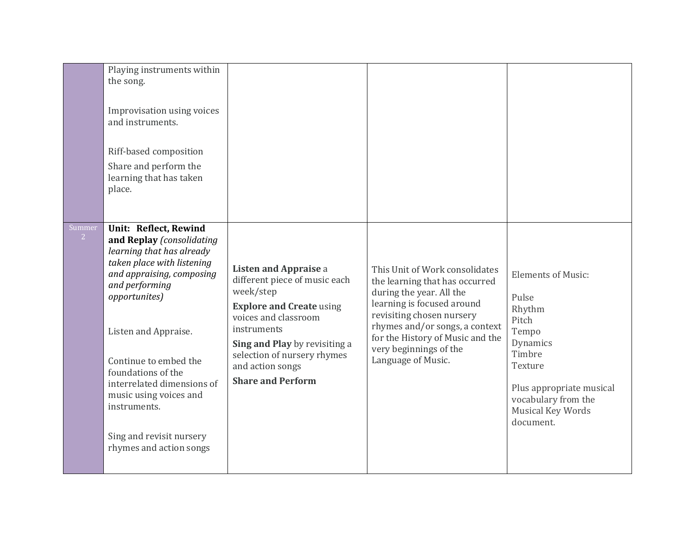|                          | Playing instruments within<br>the song.<br>Improvisation using voices<br>and instruments.<br>Riff-based composition<br>Share and perform the<br>learning that has taken<br>place.                                                                                                                                                                                                   |                                                                                                                                                                                                                                                               |                                                                                                                                                                                                                                                                               |                                                                                                                                                                                             |
|--------------------------|-------------------------------------------------------------------------------------------------------------------------------------------------------------------------------------------------------------------------------------------------------------------------------------------------------------------------------------------------------------------------------------|---------------------------------------------------------------------------------------------------------------------------------------------------------------------------------------------------------------------------------------------------------------|-------------------------------------------------------------------------------------------------------------------------------------------------------------------------------------------------------------------------------------------------------------------------------|---------------------------------------------------------------------------------------------------------------------------------------------------------------------------------------------|
| Summer<br>2 <sup>7</sup> | Unit: Reflect, Rewind<br>and Replay (consolidating<br>learning that has already<br>taken place with listening<br>and appraising, composing<br>and performing<br>opportunites)<br>Listen and Appraise.<br>Continue to embed the<br>foundations of the<br>interrelated dimensions of<br>music using voices and<br>instruments.<br>Sing and revisit nursery<br>rhymes and action songs | Listen and Appraise a<br>different piece of music each<br>week/step<br><b>Explore and Create using</b><br>voices and classroom<br>instruments<br>Sing and Play by revisiting a<br>selection of nursery rhymes<br>and action songs<br><b>Share and Perform</b> | This Unit of Work consolidates<br>the learning that has occurred<br>during the year. All the<br>learning is focused around<br>revisiting chosen nursery<br>rhymes and/or songs, a context<br>for the History of Music and the<br>very beginnings of the<br>Language of Music. | <b>Elements of Music:</b><br>Pulse<br>Rhythm<br>Pitch<br>Tempo<br>Dynamics<br>Timbre<br>Texture<br>Plus appropriate musical<br>vocabulary from the<br><b>Musical Key Words</b><br>document. |